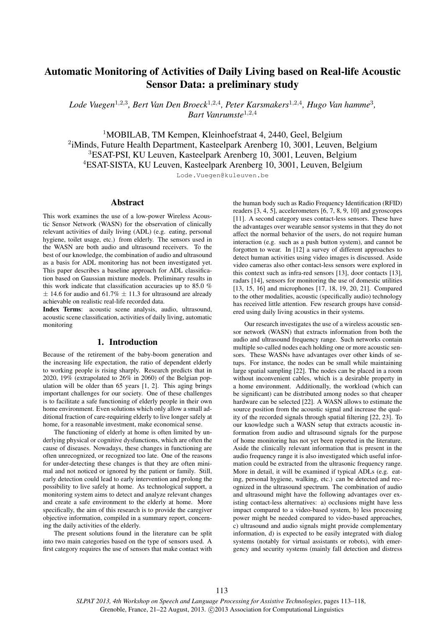# Automatic Monitoring of Activities of Daily Living based on Real-life Acoustic Sensor Data: a preliminary study

*Lode Vuegen*<sup>1</sup>,2,<sup>3</sup> *, Bert Van Den Broeck*<sup>1</sup>,2,<sup>4</sup> *, Peter Karsmakers*<sup>1</sup>,2,<sup>4</sup> *, Hugo Van hamme*<sup>3</sup> *, Bart Vanrumste*<sup>1</sup>,2,<sup>4</sup>

<sup>1</sup>MOBILAB, TM Kempen, Kleinhoefstraat 4, 2440, Geel, Belgium <sup>2</sup>iMinds, Future Health Department, Kasteelpark Arenberg 10, 3001, Leuven, Belgium <sup>3</sup>ESAT-PSI, KU Leuven, Kasteelpark Arenberg 10, 3001, Leuven, Belgium <sup>4</sup>ESAT-SISTA, KU Leuven, Kasteelpark Arenberg 10, 3001, Leuven, Belgium

Lode.Vuegen@kuleuven.be

### Abstract

This work examines the use of a low-power Wireless Acoustic Sensor Network (WASN) for the observation of clinically relevant activities of daily living (ADL) (e.g. eating, personal hygiene, toilet usage, etc.) from elderly. The sensors used in the WASN are both audio and ultrasound receivers. To the best of our knowledge, the combination of audio and ultrasound as a basis for ADL monitoring has not been investigated yet. This paper describes a baseline approach for ADL classification based on Gaussian mixture models. Preliminary results in this work indicate that classification accuracies up to 85.0 %  $\pm$  14.6 for audio and 61.7%  $\pm$  11.3 for ultrasound are already achievable on realistic real-life recorded data.

Index Terms: acoustic scene analysis, audio, ultrasound, acoustic scene classification, activities of daily living, automatic monitoring

# 1. Introduction

Because of the retirement of the baby-boom generation and the increasing life expectation, the ratio of dependent elderly to working people is rising sharply. Research predicts that in 2020, 19% (extrapolated to 26% in 2060) of the Belgian population will be older than 65 years [1, 2]. This aging brings important challenges for our society. One of these challenges is to facilitate a safe functioning of elderly people in their own home environment. Even solutions which only allow a small additional fraction of care-requiring elderly to live longer safely at home, for a reasonable investment, make economical sense.

The functioning of elderly at home is often limited by underlying physical or cognitive dysfunctions, which are often the cause of diseases. Nowadays, these changes in functioning are often unrecognized, or recognized too late. One of the reasons for under-detecting these changes is that they are often minimal and not noticed or ignored by the patient or family. Still, early detection could lead to early intervention and prolong the possibility to live safely at home. As technological support, a monitoring system aims to detect and analyze relevant changes and create a safe environment to the elderly at home. More specifically, the aim of this research is to provide the caregiver objective information, compiled in a summary report, concerning the daily activities of the elderly.

The present solutions found in the literature can be split into two main categories based on the type of sensors used. A first category requires the use of sensors that make contact with the human body such as Radio Frequency Identification (RFID) readers [3, 4, 5], accelerometers [6, 7, 8, 9, 10] and gyroscopes [11]. A second category uses contact-less sensors. These have the advantages over wearable sensor systems in that they do not affect the normal behavior of the users, do not require human interaction (e.g. such as a push button system), and cannot be forgotten to wear. In [12] a survey of different approaches to detect human activities using video images is discussed. Aside video cameras also other contact-less sensors were explored in this context such as infra-red sensors [13], door contacts [13], radars [14], sensors for monitoring the use of domestic utilities [13, 15, 16] and microphones [17, 18, 19, 20, 21]. Compared to the other modalities, acoustic (specifically audio) technology has received little attention. Few research groups have considered using daily living acoustics in their systems.

Our research investigates the use of a wireless acoustic sensor network (WASN) that extracts information from both the audio and ultrasound frequency range. Such networks contain multiple so-called nodes each holding one or more acoustic sensors. These WASNs have advantages over other kinds of setups. For instance, the nodes can be small while maintaining large spatial sampling [22]. The nodes can be placed in a room without inconvenient cables, which is a desirable property in a home environment. Additionally, the workload (which can be significant) can be distributed among nodes so that cheaper hardware can be selected [22]. A WASN allows to estimate the source position from the acoustic signal and increase the quality of the recorded signals through spatial filtering [22, 23]. To our knowledge such a WASN setup that extracts acoustic information from audio and ultrasound signals for the purpose of home monitoring has not yet been reported in the literature. Aside the clinically relevant information that is present in the audio frequency range it is also investigated which useful information could be extracted from the ultrasonic frequency range. More in detail, it will be examined if typical ADLs (e.g. eating, personal hygiene, walking, etc.) can be detected and recognized in the ultrasound spectrum. The combination of audio and ultrasound might have the following advantages over existing contact-less alternatives: a) occlusions might have less impact compared to a video-based system, b) less processing power might be needed compared to video-based approaches, c) ultrasound and audio signals might provide complementary information, d) is expected to be easily integrated with dialog systems (notably for virtual assistants or robots), with emergency and security systems (mainly fall detection and distress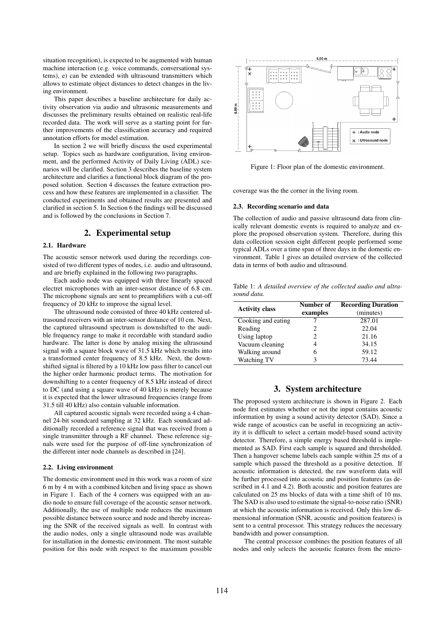situation recognition), is expected to be augmented with human machine interaction (e.g. voice commands, conversational systems), e) can be extended with ultrasound transmitters which allows to estimate object distances to detect changes in the living environment.

This paper describes a baseline architecture for daily activity observation via audio and ultrasonic measurements and discusses the preliminary results obtained on realistic real-life recorded data. The work will serve as a starting point for further improvements of the classification accuracy and required annotation efforts for model estimation.

In section 2 we will briefly discuss the used experimental setup. Topics such as hardware configuration, living environment, and the performed Activity of Daily Living (ADL) scenarios will be clarified. Section 3 describes the baseline system architecture and clarifies a functional block diagram of the proposed solution. Section 4 discusses the feature extraction process and how these features are implemented in a classifier. The conducted experiments and obtained results are presented and clarified in section 5. In Section 6 the findings will be discussed and is followed by the conclusions in Section 7.

### 2. Experimental setup

### 2.1. Hardware

The acoustic sensor network used during the recordings consisted of two different types of nodes, i.e. audio and ultrasound, and are briefly explained in the following two paragraphs.

Each audio node was equipped with three linearly spaced electret microphones with an inter-sensor distance of 6.8 cm. The microphone signals are sent to preamplifiers with a cut-off frequency of 20 kHz to improve the signal level.

The ultrasound node consisted of three 40 kHz centered ultrasound receivers with an inter-sensor distance of 10 cm. Next, the captured ultrasound spectrum is downshifted to the audible frequency range to make it recordable with standard audio hardware. The latter is done by analog mixing the ultrasound signal with a square block wave of 31.5 kHz which results into a transformed center frequency of 8.5 kHz. Next, the downshifted signal is filtered by a 10 kHz low pass filter to cancel out the higher order harmonic product terms. The motivation for downshifting to a center frequency of 8.5 kHz instead of direct to DC (and using a square wave of 40 kHz) is merely because it is expected that the lower ultrasound frequencies (range from 31.5 till 40 kHz) also contain valuable information.

All captured acoustic signals were recorded using a 4 channel 24-bit soundcard sampling at 32 kHz. Each soundcard additionally recorded a reference signal that was received from a single transmitter through a RF channel. These reference signals were used for the purpose of off-line synchronization of the different inter node channels as described in [24].

### 2.2. Living environment

The domestic environment used in this work was a room of size 6 m by 4 m with a combined kitchen and living space as shown in Figure 1. Each of the 4 corners was equipped with an audio node to ensure full coverage of the acoustic sensor network. Additionally, the use of multiple node reduces the maximum possible distance between source and node and thereby increasing the SNR of the received signals as well. In contrast with the audio nodes, only a single ultrasound node was available for installation in the domestic environment. The most suitable position for this node with respect to the maximum possible



Figure 1: Floor plan of the domestic environment.

coverage was the the corner in the living room.

### 2.3. Recording scenario and data

The collection of audio and passive ultrasound data from clinically relevant domestic events is required to analyze and explore the proposed observation system. Therefore, during this data collection session eight different people performed some typical ADLs over a time span of three days in the domestic environment. Table 1 gives an detailed overview of the collected data in terms of both audio and ultrasound.

Table 1: *A detailed overview of the collected audio and ultrasound data.*

| <b>Activity class</b> | Number of | <b>Recording Duration</b> |  |  |  |  |
|-----------------------|-----------|---------------------------|--|--|--|--|
|                       | examples  | (minutes)                 |  |  |  |  |
| Cooking and eating    |           | 287.01                    |  |  |  |  |
| Reading               | 2         | 22.04                     |  |  |  |  |
| Using laptop          | 2         | 21.16                     |  |  |  |  |
| Vacuum cleaning       |           | 34.15                     |  |  |  |  |
| Walking around        | 6         | 59.12                     |  |  |  |  |
| Watching TV           | ٩         | 73.44                     |  |  |  |  |

# 3. System architecture

The proposed system architecture is shown in Figure 2. Each node first estimates whether or not the input contains acoustic information by using a sound activity detector (SAD). Since a wide range of acoustics can be useful in recognizing an activity it is difficult to select a certain model-based sound activity detector. Therefore, a simple energy based threshold is implemented as SAD. First each sample is squared and thresholded. Then a hangover scheme labels each sample within 25 ms of a sample which passed the threshold as a positive detection. If acoustic information is detected, the raw waveform data will be further processed into acoustic and position features (as described in 4.1 and 4.2). Both acoustic and position features are calculated on 25 ms blocks of data with a time shift of 10 ms. The SAD is also used to estimate the signal-to-noise ratio (SNR) at which the acoustic information is received. Only this low dimensional information (SNR, acoustic and position features) is sent to a central processor. This strategy reduces the necessary bandwidth and power consumption.

The central processor combines the position features of all nodes and only selects the acoustic features from the micro-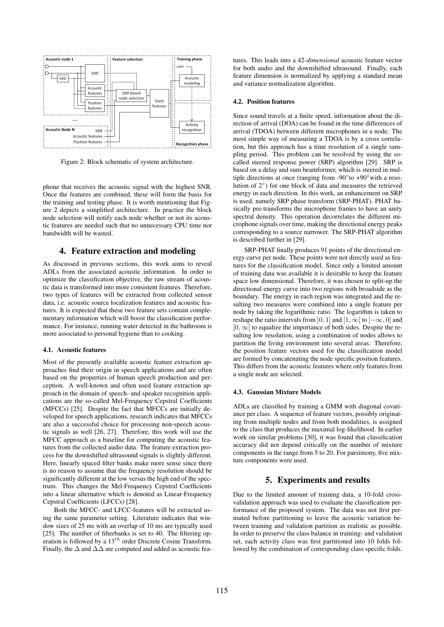

Figure 2: Block schematic of system architecture.

phone that receives the acoustic signal with the highest SNR. Once the features are combined, these will form the basis for the training and testing phase. It is worth mentioning that Figure 2 depicts a simplified architecture. In practice the block node selection will notify each node whether or not its acoustic features are needed such that no unnecessary CPU time nor bandwidth will be wasted.

### 4. Feature extraction and modeling

As discussed in previous sections, this work aims to reveal ADLs from the associated acoustic information. In order to optimize the classification objective, the raw stream of acoustic data is transformed into more consistent features. Therefore, two types of features will be extracted from collected sensor data, i.e. acoustic source localization features and acoustic features. It is expected that these two feature sets contain complementary information which will boost the classification performance. For instance, running water detected in the bathroom is more associated to personal hygiene than to cooking.

#### 4.1. Acoustic features

Most of the presently available acoustic feature extraction approaches find their origin in speech applications and are often based on the properties of human speech production and perception. A well-known and often used feature extraction approach in the domain of speech- and speaker recognition applications are the so-called Mel-Frequency Cepstral Coefficients (MFCCs) [25]. Despite the fact that MFCCs are initially developed for speech applications, research indicates that MFCCs are also a successful choice for processing non-speech acoustic signals as well [26, 27]. Therefore, this work will use the MFCC approach as a baseline for computing the acoustic features from the collected audio data. The feature extraction process for the downshifted ultrasound signals is slightly different. Here, linearly spaced filter banks make more sense since there is no reason to assume that the frequency resolution should be significantly different at the low versus the high end of the spectrum. This changes the Mel-Frequency Cepstral Coefficients into a linear alternative which is denoted as Linear-Frequency Cepstral Coefficients (LFCCs) [28].

Both the MFCC- and LFCC-features will be extracted using the same parameter setting. Literature indicates that window sizes of 25 ms with an overlap of 10 ms are typically used [25]. The number of filterbanks is set to 40. The filtering operation is followed by a  $13<sup>th</sup>$  order Discrete Cosine Transform. Finally, the  $\Delta$  and  $\Delta\Delta$  are computed and added as acoustic features. This leads into a 42*-dimensional* acoustic feature vector for both audio and the downshifted ultrasound. Finally, each feature dimension is normalized by applying a standard mean and variance normalization algorithm.

#### 4.2. Position features

Since sound travels at a finite speed, information about the direction of arrival (DOA) can be found in the time differences of arrival (TDOA) between different microphones in a node. The most simple way of measuring a TDOA is by a cross correlation, but this approach has a time resolution of a single sampling period. This problem can be resolved by using the socalled steered response power (SRP) algorithm [29]. SRP is based on a delay and sum beamformer, which is steered in multiple directions at once (ranging from -90 $\degree$ to +90 $\degree$ with a resolution of 2◦ ) for one block of data and measures the retrieved energy in each direction. In this work, an enhancement on SRP is used, namely SRP phase transform (SRP-PHAT). PHAT basically pre-transforms the microphone frames to have an unity spectral density. This operation decorrelates the different microphone signals over time, making the directional energy peaks corresponding to a source narrower. The SRP-PHAT algorithm is described further in [29].

SRP-PHAT finally produces 91 points of the directional energy curve per node. These points were not directly used as features for the classification model. Since only a limited amount of training data was available it is desirable to keep the feature space low dimensional. Therefore, it was chosen to split-up the directional energy curve into two regions with broadside as the boundary. The energy in each region was integrated and the resulting two measures were combined into a single feature per node by taking the logarithmic ratio. The logarithm is taken to reshape the ratio intervals from [0, 1] and [1,  $\infty$ [ to ] $-\infty$ , 0] and  $[0, \infty]$  to equalize the importance of both sides. Despite the resulting low resolution, using a combination of nodes allows to partition the living environment into several areas. Therefore, the position feature vectors used for the classification model are formed by concatenating the node specific position features. This differs from the acoustic features where only features from a single node are selected.

#### 4.3. Gaussian Mixture Models

ADLs are classified by training a GMM with diagonal covariance per class. A sequence of feature vectors, possibly originating from multiple nodes and from both modalities, is assigned to the class that produces the maximal log-likelihood. In earlier work on similar problems [30], it was found that classification accuracy did not depend critically on the number of mixture components in the range from 5 to 20. For parsimony, five mixture components were used.

### 5. Experiments and results

Due to the limited amount of training data, a 10-fold crossvalidation approach was used to evaluate the classification performance of the proposed system. The data was not first permuted before partitioning to leave the acoustic variation between training and validation partition as realistic as possible. In order to preserve the class balance in training- and validation set, each activity class was first partitioned into 10 folds followed by the combination of corresponding class specific folds.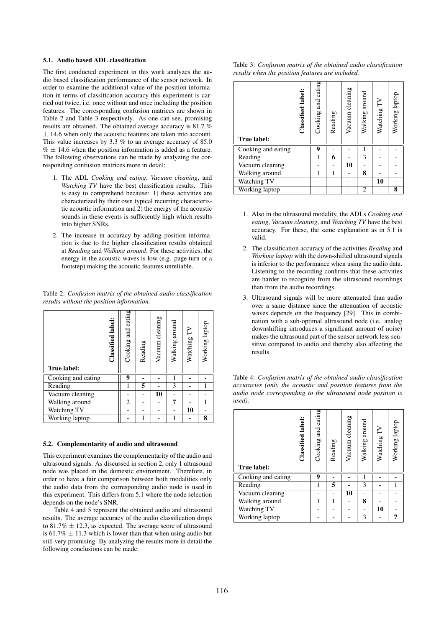### 5.1. Audio based ADL classification

The first conducted experiment in this work analyzes the audio based classification performance of the sensor network. In order to examine the additional value of the position information in terms of classification accuracy this experiment is carried out twice, i.e. once without and once including the position features. The corresponding confusion matrices are shown in Table 2 and Table 3 respectively. As one can see, promising results are obtained. The obtained average accuracy is 81.7 %  $±$  14.6 when only the acoustic features are taken into account. This value increases by  $3.3\%$  to an average accuracy of  $85.0\%$  $% \pm 14.6$  when the position information is added as a feature. The following observations can be made by analyzing the corresponding confusion matrices more in detail:

- 1. The ADL *Cooking and eating*, *Vacuum cleaning*, and *Watching TV* have the best classification results. This is easy to comprehend because: 1) these activities are characterized by their own typical recurring characteristic acoustic information and 2) the energy of the acoustic sounds in these events is sufficiently high which results into higher SNRs.
- 2. The increase in accuracy by adding position information is due to the higher classification results obtained at *Reading* and *Walking around*. For these activities, the energy in the acoustic waves is low (e.g. page turn or a footstep) making the acoustic features unreliable.

Table 2: *Confusion matrix of the obtained audio classification results without the position information.*

| Classified label:<br>True label: | Cooking and eating | Reading | Vacuum cleaning | Walking around | Watching TV | Working laptop |
|----------------------------------|--------------------|---------|-----------------|----------------|-------------|----------------|
| Cooking and eating               | 9                  |         |                 |                |             |                |
| Reading                          | 1                  | 5       |                 | 3              |             |                |
| Vacuum cleaning                  |                    |         | 10              |                |             |                |
| Walking around                   | 2                  |         |                 | 7              |             |                |
| <b>Watching TV</b>               |                    |         |                 |                | 10          |                |
|                                  |                    |         |                 |                |             |                |

### 5.2. Complementarity of audio and ultrasound

This experiment examines the complementarity of the audio and ultrasound signals. As discussed in section 2, only 1 ultrasound node was placed in the domestic environment. Therefore, in order to have a fair comparison between both modalities only the audio data from the corresponding audio node is used in this experiment. This differs from 5.1 where the node selection depends on the node's SNR.

Table 4 and 5 represent the obtained audio and ultrasound results. The average accuracy of the audio classification drops to 81.7%  $\pm$  12.3, as expected. The average score of ultrasound is  $61.7\% \pm 11.3$  which is lower than that when using audio but still very promising. By analyzing the results more in detail the following conclusions can be made:

Table 3: *Confusion matrix of the obtained audio classification results when the position features are included.*

| True label:        | Classified label: | Cooking and eating | Reading | Vacuum cleaning | Walking around | Watching TV | Working laptop |
|--------------------|-------------------|--------------------|---------|-----------------|----------------|-------------|----------------|
| Cooking and eating |                   | 9                  |         |                 |                |             |                |
| Reading            |                   | 1                  | 6       |                 | 3              |             |                |
| Vacuum cleaning    |                   |                    |         | 10              |                |             |                |
| Walking around     |                   | 1                  |         |                 | 8              |             |                |
| <b>Watching TV</b> |                   |                    |         |                 |                | 10          |                |
| Working laptop     |                   |                    |         |                 | 2              |             | 8              |

- 1. Also in the ultrasound modality, the ADLs *Cooking and eating*, *Vacuum cleaning*, and *Watching TV* have the best accuracy. For these, the same explanation as in 5.1 is valid.
- 2. The classification accuracy of the activities *Reading* and *Working laptop* with the down-shifted ultrasound signals is inferior to the performance when using the audio data. Listening to the recording confirms that these activities are harder to recognize from the ultrasound recordings than from the audio recordings.
- 3. Ultrasound signals will be more attenuated than audio over a same distance since the attenuation of acoustic waves depends on the frequency [29]. This in combination with a sub-optimal ultrasound node (i.e. analog downshifting introduces a significant amount of noise) makes the ultrasound part of the sensor network less sensitive compared to audio and thereby also affecting the results.

Table 4: *Confusion matrix of the obtained audio classification accuracies (only the acoustic and position features from the audio node corresponding to the ultrasound node position is used).*

| True label:        | Classified label: | Cooking and eating | Reading | Vacuum cleaning | Walking around | Watching TV | Working laptop |
|--------------------|-------------------|--------------------|---------|-----------------|----------------|-------------|----------------|
| Cooking and eating |                   | 9                  |         |                 |                |             |                |
| Reading            |                   |                    | 5       |                 | 3              |             |                |
| Vacuum cleaning    |                   |                    |         | 10              |                |             |                |
| Walking around     |                   |                    | 1       |                 | 8              |             |                |
| Watching TV        |                   |                    |         |                 |                | 10          |                |
| Working laptop     |                   |                    |         |                 | 3              |             |                |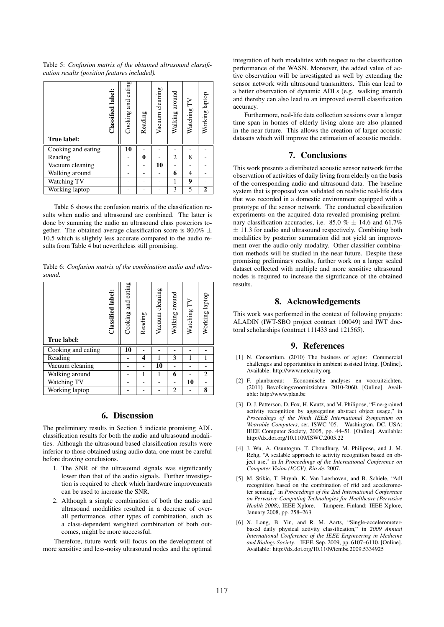Table 5: *Confusion matrix of the obtained ultrasound classification results (position features included).*

| Classified label:<br>True label: | Cooking and eating | Reading | Vacuum cleaning | Walking around | Watching TV | Working laptop |
|----------------------------------|--------------------|---------|-----------------|----------------|-------------|----------------|
| Cooking and eating               | 10                 |         |                 |                |             |                |
| Reading                          |                    | 0       |                 | 2              | 8           |                |
| Vacuum cleaning                  |                    |         | 10              |                |             |                |
| Walking around                   |                    |         |                 | 6              | 4           |                |
| Watching TV                      |                    |         |                 | 1              | 9           |                |
| Working laptop                   |                    |         |                 | 3              | 5           | 2              |

Table 6 shows the confusion matrix of the classification results when audio and ultrasound are combined. The latter is done by summing the audio an ultrasound class posteriors together. The obtained average classification score is 80.0%  $\pm$ 10.5 which is slightly less accurate compared to the audio results from Table 4 but nevertheless still promising.

Table 6: *Confusion matrix of the combination audio and ultrasound.*

| Classified label:<br>True label: | Cooking and eating | Reading | Vacuum cleaning | Walking around | Watching TV | Working laptop |
|----------------------------------|--------------------|---------|-----------------|----------------|-------------|----------------|
| Cooking and eating               | 10                 |         |                 |                |             |                |
| Reading                          |                    | 4       |                 | 3              |             |                |
| Vacuum cleaning                  |                    |         | 10              |                |             |                |
| Walking around                   |                    | 1       |                 | 6              |             | 2              |
| Watching TV                      |                    |         |                 |                | 10          |                |
| Working laptop                   |                    |         |                 | 2              |             | 8              |

# 6. Discussion

The preliminary results in Section 5 indicate promising ADL classification results for both the audio and ultrasound modalities. Although the ultrasound based classification results were inferior to those obtained using audio data, one must be careful before drawing conclusions.

- 1. The SNR of the ultrasound signals was significantly lower than that of the audio signals. Further investigation is required to check which hardware improvements can be used to increase the SNR.
- 2. Although a simple combination of both the audio and ultrasound modalities resulted in a decrease of overall performance, other types of combination, such as a class-dependent weighted combination of both outcomes, might be more successful.

Therefore, future work will focus on the development of more sensitive and less-noisy ultrasound nodes and the optimal integration of both modalities with respect to the classification performance of the WASN. Moreover, the added value of active observation will be investigated as well by extending the sensor network with ultrasound transmitters. This can lead to a better observation of dynamic ADLs (e.g. walking around) and thereby can also lead to an improved overall classification accuracy.

Furthermore, real-life data collection sessions over a longer time span in homes of elderly living alone are also planned in the near future. This allows the creation of larger acoustic datasets which will improve the estimation of acoustic models.

# 7. Conclusions

This work presents a distributed acoustic sensor network for the observation of activities of daily living from elderly on the basis of the corresponding audio and ultrasound data. The baseline system that is proposed was validated on realistic real-life data that was recorded in a domestic environment equipped with a prototype of the sensor network. The conducted classification experiments on the acquired data revealed promising preliminary classification accuracies, i.e. 85.0 %  $\pm$  14.6 and 61.7%  $\pm$  11.3 for audio and ultrasound respectively. Combining both modalities by posterior summation did not yield an improvement over the audio-only modality. Other classifier combination methods will be studied in the near future. Despite these promising preliminary results, further work on a larger scaled dataset collected with multiple and more sensitive ultrasound nodes is required to increase the significance of the obtained results.

# 8. Acknowledgements

This work was performed in the context of following projects: ALADIN (IWT-SBO project contract 100049) and IWT doctoral scholarships (contract 111433 and 121565).

# 9. References

- [1] N. Consortium. (2010) The business of aging: Commercial challenges and opportunities in ambient assisted living. [Online]. Available: http://www.netcarity.org
- [2] F. planbureau: Economische analyses en vooruitzichten. (2011) Bevolkingsvooruitzichten 2010-2060. [Online]. Available: http://www.plan.be
- [3] D. J. Patterson, D. Fox, H. Kautz, and M. Philipose, "Fine-grained" activity recognition by aggregating abstract object usage," in *Proceedings of the Ninth IEEE International Symposium on Wearable Computers*, ser. ISWC '05. Washington, DC, USA: IEEE Computer Society, 2005, pp. 44–51. [Online]. Available: http://dx.doi.org/10.1109/ISWC.2005.22
- [4] J. Wu, A. Osuntogun, T. Choudhury, M. Philipose, and J. M. Rehg, "A scalable approach to activity recognition based on object use," in *In Proceedings of the International Conference on Computer Vision (ICCV), Rio de*, 2007.
- [5] M. Stikic, T. Huynh, K. Van Laerhoven, and B. Schiele, "Adl recognition based on the combination of rfid and accelerometer sensing," in *Proceedings of the 2nd International Conference on Pervasive Computing Technologies for Healthcare (Pervasive Health 2008), IEEE Xplore, Tampere, Finland: IEEE Xplore,* Tampere, Finland: IEEE Xplore, January 2008, pp. 258–263.
- [6] X. Long, B. Yin, and R. M. Aarts, "Single-accelerometerbased daily physical activity classification," in *2009 Annual International Conference of the IEEE Engineering in Medicine and Biology Society*. IEEE, Sep. 2009, pp. 6107–6110. [Online]. Available: http://dx.doi.org/10.1109/iembs.2009.5334925